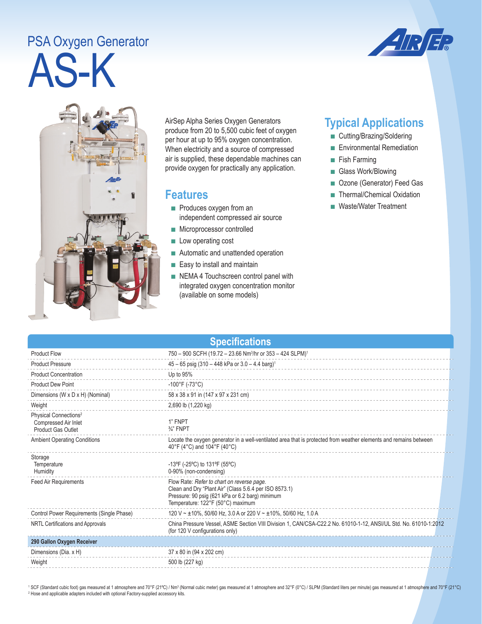## AS-K PSA Oxygen Generator





AirSep Alpha Series Oxygen Generators produce from 20 to 5,500 cubic feet of oxygen per hour at up to 95% oxygen concentration. When electricity and a source of compressed air is supplied, these dependable machines can provide oxygen for practically any application.

## **Features**

- Produces oxygen from an independent compressed air source
- Microprocessor controlled
- Low operating cost
- Automatic and unattended operation
- Easy to install and maintain
- NEMA 4 Touchscreen control panel with integrated oxygen concentration monitor (available on some models)

## **Typical Applications**

- Cutting/Brazing/Soldering
- Environmental Remediation
- Fish Farming
- Glass Work/Blowing
- Ozone (Generator) Feed Gas
- Thermal/Chemical Oxidation
- Waste/Water Treatment

| <b>Specifications</b>                                                                  |                                                                                                                                                                                              |  |  |
|----------------------------------------------------------------------------------------|----------------------------------------------------------------------------------------------------------------------------------------------------------------------------------------------|--|--|
| <b>Product Flow</b>                                                                    | 750 - 900 SCFH (19.72 - 23.66 Nm <sup>3</sup> /hr or 353 - 424 SLPM) <sup>1</sup>                                                                                                            |  |  |
| <b>Product Pressure</b>                                                                | 45 - 65 psig (310 - 448 kPa or 3.0 - 4.4 barg) <sup>1</sup>                                                                                                                                  |  |  |
| <b>Product Concentration</b>                                                           | Up to 95%                                                                                                                                                                                    |  |  |
| <b>Product Dew Point</b>                                                               | $-100^{\circ}$ F (-73°C)                                                                                                                                                                     |  |  |
| Dimensions (W x D x H) (Nominal)                                                       | 58 x 38 x 91 in (147 x 97 x 231 cm)                                                                                                                                                          |  |  |
| Weight                                                                                 | 2,690 lb (1,220 kg)                                                                                                                                                                          |  |  |
| Physical Connections <sup>2</sup><br>Compressed Air Inlet<br><b>Product Gas Outlet</b> | 1" FNPT<br>$\frac{3}{4}$ " FNPT                                                                                                                                                              |  |  |
| <b>Ambient Operating Conditions</b>                                                    | Locate the oxygen generator in a well-ventilated area that is protected from weather elements and remains between<br>40°F (4°C) and 104°F (40°C)                                             |  |  |
| Storage<br>Temperature<br>Humidity                                                     | -13°F (-25°C) to 131°F (55°C)<br>0-90% (non-condensing)                                                                                                                                      |  |  |
| <b>Feed Air Requirements</b>                                                           | Flow Rate: Refer to chart on reverse page.<br>Clean and Dry "Plant Air" (Class 5.6.4 per ISO 8573.1)<br>Pressure: 90 psig (621 kPa or 6.2 barg) minimum<br>Temperature: 122°F (50°C) maximum |  |  |
| Control Power Requirements (Single Phase)                                              | 120 V ~ ±10%, 50/60 Hz, 3.0 A or 220 V ~ ±10%, 50/60 Hz, 1.0 A                                                                                                                               |  |  |
| NRTL Certifications and Approvals                                                      | China Pressure Vessel, ASME Section VIII Division 1, CAN/CSA-C22.2 No. 61010-1-12, ANSI/UL Std. No. 61010-1:2012<br>(for 120 V configurations only)                                          |  |  |
| 290 Gallon Oxygen Receiver                                                             |                                                                                                                                                                                              |  |  |
| Dimensions (Dia. x H)                                                                  | 37 x 80 in (94 x 202 cm)                                                                                                                                                                     |  |  |
| Weight                                                                                 | 500 lb (227 kg)                                                                                                                                                                              |  |  |

<sup>1</sup> SCF (Standard cubic foot) gas measured at 1 atmosphere and 70°F (21°C) / Nm<sup>3</sup> (Normal cubic meter) gas measured at 1 atmosphere and 32°F (0°C) / SLPM (Standard liters per minute) gas measured at 1 atmosphere and 70°F <sup>2</sup> Hose and applicable adapters included with optional Factory-supplied accessory kits.